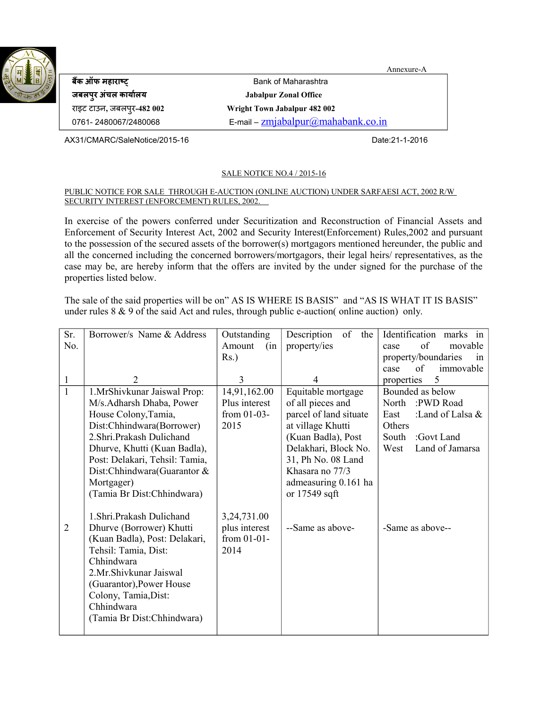

**बैंक ऑफ महहारहाषष** Bank of Maharashtra **जबलपुर अंचल कहार्हाालर् Jabalpur Zonal Office** राइट टाउन**,** जबलपुर**-482 002 Wright Town Jabalpur 482 002**

0761- 2480067/2480068 E-mail –  $\frac{zmiabalpur(\omega) mahabank.co.in}{zmiabalpur(\omega)mnabalbark.$ 

AX31/CMARC/SaleNotice/2015-16 Date:21-1-2016

### SALE NOTICE NO.4 / 2015-16

#### PUBLIC NOTICE FOR SALE THROUGH E-AUCTION (ONLINE AUCTION) UNDER SARFAESI ACT, 2002 R/W SECURITY INTEREST (ENFORCEMENT) RULES, 2002.

Annexure-A

In exercise of the powers conferred under Securitization and Reconstruction of Financial Assets and Enforcement of Security Interest Act, 2002 and Security Interest(Enforcement) Rules,2002 and pursuant to the possession of the secured assets of the borrower(s) mortgagors mentioned hereunder, the public and all the concerned including the concerned borrowers/mortgagors, their legal heirs/ representatives, as the case may be, are hereby inform that the offers are invited by the under signed for the purchase of the properties listed below.

The sale of the said properties will be on" AS IS WHERE IS BASIS" and "AS IS WHAT IT IS BASIS" under rules  $8 \& 9$  of the said Act and rules, through public e-auction( online auction) only.

| Sr.            | Borrower/s Name & Address      | Outstanding   | Description<br>of<br>the | Identification marks<br>$\mathbf{in}$ |
|----------------|--------------------------------|---------------|--------------------------|---------------------------------------|
| No.            |                                | Amount<br>(in | property/ies             | of<br>movable<br>case                 |
|                |                                | $Rs.$ )       |                          | property/boundaries<br>in             |
|                |                                |               |                          | of<br>immovable<br>case               |
| $\mathbf{1}$   | 2                              | 3             | 4                        | 5<br>properties                       |
| $\mathbf{1}$   | 1.MrShivkunar Jaiswal Prop:    | 14,91,162.00  | Equitable mortgage       | Bounded as below                      |
|                | M/s.Adharsh Dhaba, Power       | Plus interest | of all pieces and        | North<br>:PWD Road                    |
|                | House Colony, Tamia,           | from $01-03-$ | parcel of land situate   | :Land of Lalsa &<br>East              |
|                | Dist:Chhindwara(Borrower)      | 2015          | at village Khutti        | Others                                |
|                | 2. Shri. Prakash Dulichand     |               | (Kuan Badla), Post       | South<br>:Govt Land                   |
|                | Dhurve, Khutti (Kuan Badla),   |               | Delakhari, Block No.     | Land of Jamarsa<br>West               |
|                | Post: Delakari, Tehsil: Tamia, |               | 31, Ph No. 08 Land       |                                       |
|                | Dist:Chhindwara(Guarantor &    |               | Khasara no 77/3          |                                       |
|                | Mortgager)                     |               | admeasuring 0.161 ha     |                                       |
|                | (Tamia Br Dist:Chhindwara)     |               | or 17549 sqft            |                                       |
|                |                                |               |                          |                                       |
|                | 1. Shri. Prakash Dulichand     | 3,24,731.00   |                          |                                       |
| $\overline{2}$ | Dhurve (Borrower) Khutti       | plus interest | --Same as above-         | -Same as above--                      |
|                | (Kuan Badla), Post: Delakari,  | from 01-01-   |                          |                                       |
|                | Tehsil: Tamia, Dist:           | 2014          |                          |                                       |
|                | Chhindwara                     |               |                          |                                       |
|                | 2.Mr.Shivkunar Jaiswal         |               |                          |                                       |
|                | (Guarantor), Power House       |               |                          |                                       |
|                | Colony, Tamia, Dist:           |               |                          |                                       |
|                | Chhindwara                     |               |                          |                                       |
|                | (Tamia Br Dist:Chhindwara)     |               |                          |                                       |
|                |                                |               |                          |                                       |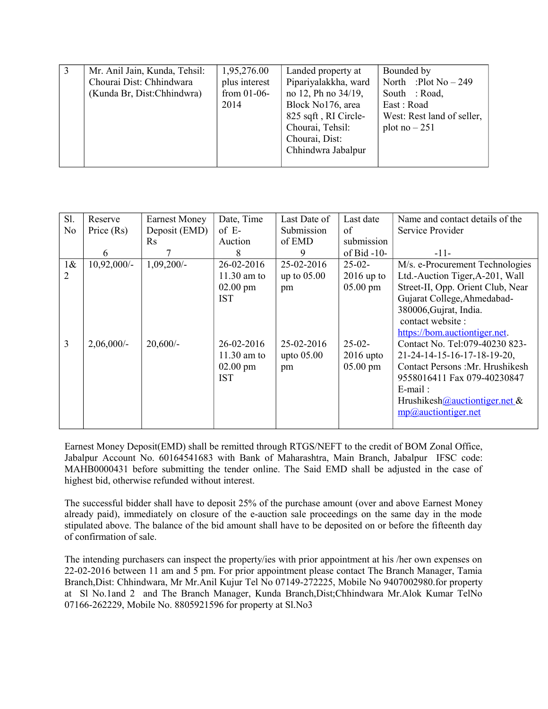| Mr. Anil Jain, Kunda, Tehsil:<br>1,95,276.00<br>Chourai Dist: Chhindwara<br>plus interest<br>(Kunda Br, Dist:Chhindwra)<br>from $01-06$ -<br>2014 | Bounded by<br>Landed property at<br>Pipariyalakkha, ward<br>North :Plot $No-249$<br>no 12, Ph no 34/19,<br>South : Road,<br>Block No176, area<br>East: Road<br>825 sqft, RI Circle-<br>West: Rest land of seller,<br>Chourai, Tehsil:<br>plot no $-251$<br>Chourai, Dist:<br>Chhindwra Jabalpur |
|---------------------------------------------------------------------------------------------------------------------------------------------------|-------------------------------------------------------------------------------------------------------------------------------------------------------------------------------------------------------------------------------------------------------------------------------------------------|
|---------------------------------------------------------------------------------------------------------------------------------------------------|-------------------------------------------------------------------------------------------------------------------------------------------------------------------------------------------------------------------------------------------------------------------------------------------------|

| Sl.            | Reserve       | <b>Earnest Money</b> | Date, Time         | Last Date of  | Last date          | Name and contact details of the   |
|----------------|---------------|----------------------|--------------------|---------------|--------------------|-----------------------------------|
| N <sub>0</sub> | Price $(Rs)$  | Deposit (EMD)        | $of E-$            | Submission    | of                 | Service Provider                  |
|                |               | <b>Rs</b>            | Auction            | of EMD        | submission         |                                   |
|                | 6             |                      | 8                  | 9             | of Bid $-10-$      | $-11-$                            |
| $1\&$          | $10,92,000/-$ | $1,09,200/-$         | 26-02-2016         | 25-02-2016    | $25-02-$           | M/s. e-Procurement Technologies   |
| 2              |               |                      | $11.30$ am to      | up to $05.00$ | $2016$ up to       | Ltd.-Auction Tiger, A-201, Wall   |
|                |               |                      | $02.00 \text{ pm}$ | pm            | $05.00 \text{ pm}$ | Street-II, Opp. Orient Club, Near |
|                |               |                      | <b>IST</b>         |               |                    | Gujarat College, Ahmedabad-       |
|                |               |                      |                    |               |                    | 380006, Gujrat, India.            |
|                |               |                      |                    |               |                    | contact website:                  |
|                |               |                      |                    |               |                    | https://bom.auctiontiger.net.     |
| 3              | $2,06,000/$ - | $20,600/-$           | 26-02-2016         | 25-02-2016    | $25-02-$           | Contact No. Tel:079-40230 823-    |
|                |               |                      | $11.30$ am to      | upto $05.00$  | $2016$ upto        | 21-24-14-15-16-17-18-19-20,       |
|                |               |                      | $02.00 \text{ pm}$ | pm            | $05.00 \text{ pm}$ | Contact Persons: Mr. Hrushikesh   |
|                |               |                      | <b>IST</b>         |               |                    | 9558016411 Fax 079-40230847       |
|                |               |                      |                    |               |                    | $E$ -mail:                        |
|                |               |                      |                    |               |                    | Hrushikesh@auctiontiger.net &     |
|                |               |                      |                    |               |                    | mp@auctiontiger.net               |
|                |               |                      |                    |               |                    |                                   |

Earnest Money Deposit(EMD) shall be remitted through RTGS/NEFT to the credit of BOM Zonal Office, Jabalpur Account No. 60164541683 with Bank of Maharashtra, Main Branch, Jabalpur IFSC code: MAHB0000431 before submitting the tender online. The Said EMD shall be adjusted in the case of highest bid, otherwise refunded without interest.

The successful bidder shall have to deposit 25% of the purchase amount (over and above Earnest Money already paid), immediately on closure of the e-auction sale proceedings on the same day in the mode stipulated above. The balance of the bid amount shall have to be deposited on or before the fifteenth day of confirmation of sale.

The intending purchasers can inspect the property/ies with prior appointment at his /her own expenses on 22-02-2016 between 11 am and 5 pm. For prior appointment please contact The Branch Manager, Tamia Branch,Dist: Chhindwara, Mr Mr.Anil Kujur Tel No 07149-272225, Mobile No 9407002980.for property at Sl No.1and 2 and The Branch Manager, Kunda Branch,Dist;Chhindwara Mr.Alok Kumar TelNo 07166-262229, Mobile No. 8805921596 for property at Sl.No3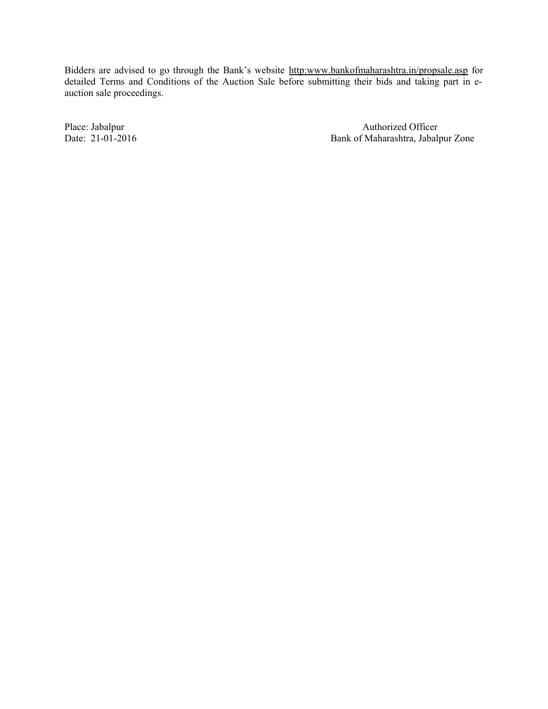Bidders are advised to go through the Bank's website http:www.bankofmaharashtra.in/propsale.asp for detailed Terms and Conditions of the Auction Sale before submitting their bids and taking part in eauction sale proceedings.

Place: Jabalpur Authorized Officer Date: 21-01-2016 Bank of Maharashtra, Jabalpur Zone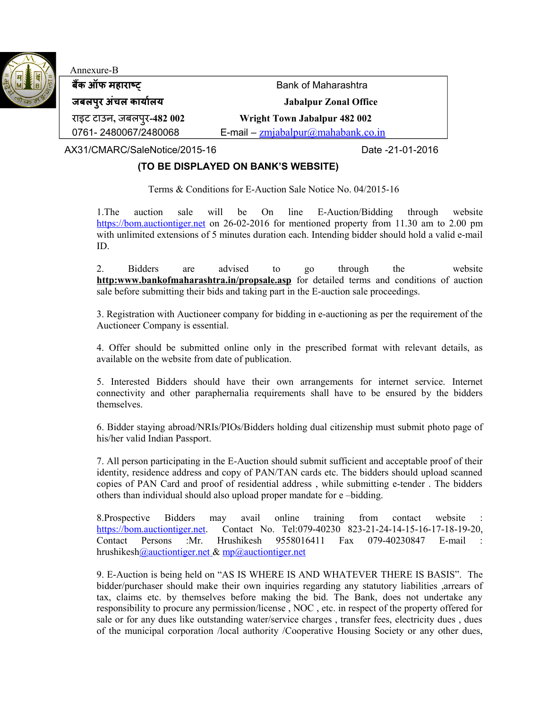

# Annexure-B

**बकैं ऑफ महहारहाषष** Bank of Maharashtra

**जबलपुर अंचल कहार्हाालर् Jabalpur Zonal Office**

राइट टाउन**,** जबलपुर**-482 002 Wright Town Jabalpur 482 002**

0761- 2480067/2480068 E-mail – [zmjabalpur@mahabank.co.in](mailto:zmjabalpur@mahabank.co.in)

AX31/CMARC/SaleNotice/2015-16 Date -21-01-2016

# **(TO BE DISPLAYED ON BANK'S WEBSITE)**

Terms & Conditions for E-Auction Sale Notice No. 04/2015-16

1.The auction sale will be On line E-Auction/Bidding through website [https://bom.auctiontiger.net](https://bom.auctiontiger.net/) on 26-02-2016 for mentioned property from 11.30 am to 2.00 pm with unlimited extensions of 5 minutes duration each. Intending bidder should hold a valid e-mail ID.

2. Bidders are advised to go through the website **http:www.bankofmaharashtra.in/propsale.asp** for detailed terms and conditions of auction sale before submitting their bids and taking part in the E-auction sale proceedings.

3. Registration with Auctioneer company for bidding in e-auctioning as per the requirement of the Auctioneer Company is essential.

4. Offer should be submitted online only in the prescribed format with relevant details, as available on the website from date of publication.

5. Interested Bidders should have their own arrangements for internet service. Internet connectivity and other paraphernalia requirements shall have to be ensured by the bidders themselves.

6. Bidder staying abroad/NRIs/PIOs/Bidders holding dual citizenship must submit photo page of his/her valid Indian Passport.

7. All person participating in the E-Auction should submit sufficient and acceptable proof of their identity, residence address and copy of PAN/TAN cards etc. The bidders should upload scanned copies of PAN Card and proof of residential address , while submitting e-tender . The bidders others than individual should also upload proper mandate for e –bidding.

8.Prospective Bidders may avail online training from contact website [https://bom.auctiontiger.net.](https://bom.auctiontiger.net/) Contact No. Tel:079-40230 823-21-24-14-15-16-17-18-19-20, Contact Persons :Mr. Hrushikesh 9558016411 Fax 079-40230847 E-mail : hrushikesh *Q*auctiontiger.net & mp *Q*auctiontiger.net

9. E-Auction is being held on "AS IS WHERE IS AND WHATEVER THERE IS BASIS". The bidder/purchaser should make their own inquiries regarding any statutory liabilities ,arrears of tax, claims etc. by themselves before making the bid. The Bank, does not undertake any responsibility to procure any permission/license , NOC , etc. in respect of the property offered for sale or for any dues like outstanding water/service charges , transfer fees, electricity dues , dues of the municipal corporation /local authority /Cooperative Housing Society or any other dues,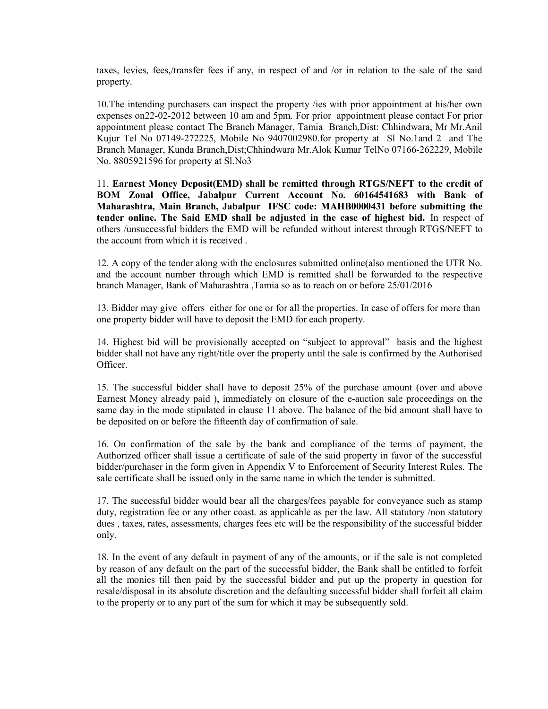taxes, levies, fees,/transfer fees if any, in respect of and /or in relation to the sale of the said property.

10.The intending purchasers can inspect the property /ies with prior appointment at his/her own expenses on22-02-2012 between 10 am and 5pm. For prior appointment please contact For prior appointment please contact The Branch Manager, Tamia Branch,Dist: Chhindwara, Mr Mr.Anil Kujur Tel No 07149-272225, Mobile No 9407002980.for property at Sl No.1and 2 and The Branch Manager, Kunda Branch,Dist;Chhindwara Mr.Alok Kumar TelNo 07166-262229, Mobile No. 8805921596 for property at Sl.No3

11. **Earnest Money Deposit(EMD) shall be remitted through RTGS/NEFT to the credit of BOM Zonal Office, Jabalpur Current Account No. 60164541683 with Bank of Maharashtra, Main Branch, Jabalpur IFSC code: MAHB0000431 before submitting the tender online. The Said EMD shall be adjusted in the case of highest bid.** In respect of others /unsuccessful bidders the EMD will be refunded without interest through RTGS/NEFT to the account from which it is received .

12. A copy of the tender along with the enclosures submitted online(also mentioned the UTR No. and the account number through which EMD is remitted shall be forwarded to the respective branch Manager, Bank of Maharashtra ,Tamia so as to reach on or before 25/01/2016

13. Bidder may give offers either for one or for all the properties. In case of offers for more than one property bidder will have to deposit the EMD for each property.

14. Highest bid will be provisionally accepted on "subject to approval" basis and the highest bidder shall not have any right/title over the property until the sale is confirmed by the Authorised Officer.

15. The successful bidder shall have to deposit 25% of the purchase amount (over and above Earnest Money already paid ), immediately on closure of the e-auction sale proceedings on the same day in the mode stipulated in clause 11 above. The balance of the bid amount shall have to be deposited on or before the fifteenth day of confirmation of sale.

16. On confirmation of the sale by the bank and compliance of the terms of payment, the Authorized officer shall issue a certificate of sale of the said property in favor of the successful bidder/purchaser in the form given in Appendix V to Enforcement of Security Interest Rules. The sale certificate shall be issued only in the same name in which the tender is submitted.

17. The successful bidder would bear all the charges/fees payable for conveyance such as stamp duty, registration fee or any other coast. as applicable as per the law. All statutory /non statutory dues , taxes, rates, assessments, charges fees etc will be the responsibility of the successful bidder only.

18. In the event of any default in payment of any of the amounts, or if the sale is not completed by reason of any default on the part of the successful bidder, the Bank shall be entitled to forfeit all the monies till then paid by the successful bidder and put up the property in question for resale/disposal in its absolute discretion and the defaulting successful bidder shall forfeit all claim to the property or to any part of the sum for which it may be subsequently sold.